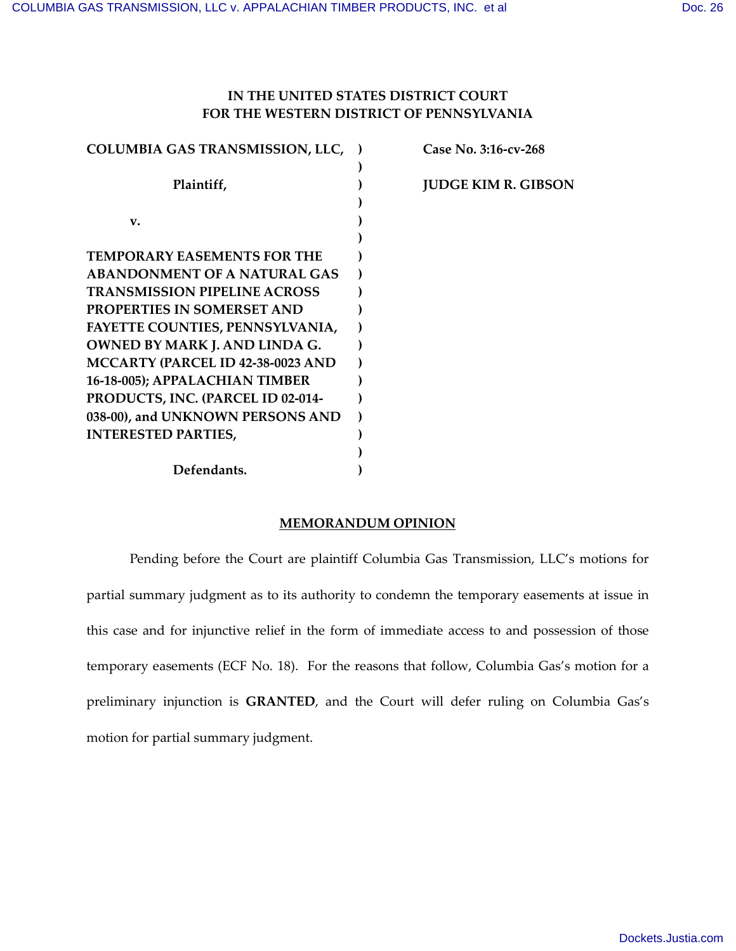# **IN THE UNITED STATES DISTRICT COURT FOR THE WESTERN DISTRICT OF PENNSYLVANIA**

| <b>COLUMBIA GAS TRANSMISSION, LLC, )</b> | Case No. 3:16-cv-268       |
|------------------------------------------|----------------------------|
|                                          |                            |
| Plaintiff,                               | <b>JUDGE KIM R. GIBSON</b> |
|                                          |                            |
| v.                                       |                            |
|                                          |                            |
| <b>TEMPORARY EASEMENTS FOR THE</b>       |                            |
| <b>ABANDONMENT OF A NATURAL GAS</b>      |                            |
| <b>TRANSMISSION PIPELINE ACROSS</b>      |                            |
| <b>PROPERTIES IN SOMERSET AND</b>        |                            |
| FAYETTE COUNTIES, PENNSYLVANIA,          |                            |
| <b>OWNED BY MARK J. AND LINDA G.</b>     |                            |
| MCCARTY (PARCEL ID 42-38-0023 AND        |                            |
| 16-18-005); APPALACHIAN TIMBER           |                            |
| PRODUCTS, INC. (PARCEL ID 02-014-        |                            |
| 038-00), and UNKNOWN PERSONS AND         |                            |
| <b>INTERESTED PARTIES,</b>               |                            |
|                                          |                            |
| Defendants.                              |                            |

#### **MEMORANDUM OPINION**

Pending before the Court are plaintiff Columbia Gas Transmission, LLC's motions for partial summary judgment as to its authority to condemn the temporary easements at issue in this case and for injunctive relief in the form of immediate access to and possession of those temporary easements (ECF No. 18). For the reasons that follow, Columbia Gas's motion for a preliminary injunction is **GRANTED**, and the Court will defer ruling on Columbia Gas's motion for partial summary judgment.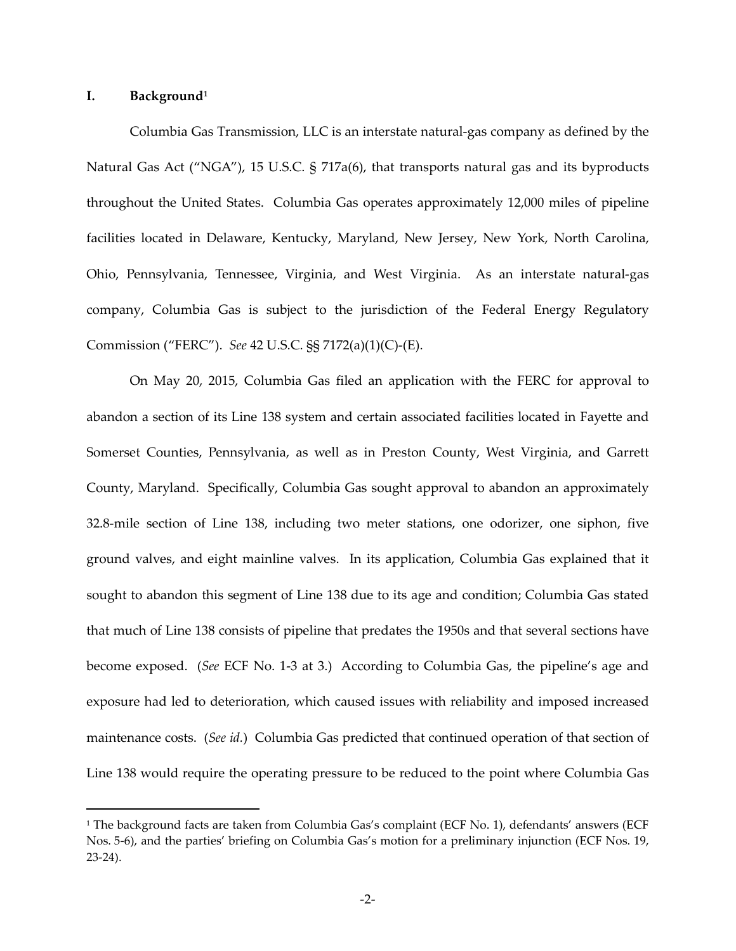#### **I. Background[1](#page-1-0)**

 $\overline{a}$ 

Columbia Gas Transmission, LLC is an interstate natural-gas company as defined by the Natural Gas Act ("NGA"), 15 U.S.C. § 717a(6), that transports natural gas and its byproducts throughout the United States. Columbia Gas operates approximately 12,000 miles of pipeline facilities located in Delaware, Kentucky, Maryland, New Jersey, New York, North Carolina, Ohio, Pennsylvania, Tennessee, Virginia, and West Virginia. As an interstate natural-gas company, Columbia Gas is subject to the jurisdiction of the Federal Energy Regulatory Commission ("FERC"). *See* 42 U.S.C. §§ 7172(a)(1)(C)-(E).

On May 20, 2015, Columbia Gas filed an application with the FERC for approval to abandon a section of its Line 138 system and certain associated facilities located in Fayette and Somerset Counties, Pennsylvania, as well as in Preston County, West Virginia, and Garrett County, Maryland. Specifically, Columbia Gas sought approval to abandon an approximately 32.8-mile section of Line 138, including two meter stations, one odorizer, one siphon, five ground valves, and eight mainline valves. In its application, Columbia Gas explained that it sought to abandon this segment of Line 138 due to its age and condition; Columbia Gas stated that much of Line 138 consists of pipeline that predates the 1950s and that several sections have become exposed. (*See* ECF No. 1-3 at 3.) According to Columbia Gas, the pipeline's age and exposure had led to deterioration, which caused issues with reliability and imposed increased maintenance costs. (*See id.*) Columbia Gas predicted that continued operation of that section of Line 138 would require the operating pressure to be reduced to the point where Columbia Gas

<span id="page-1-0"></span><sup>1</sup> The background facts are taken from Columbia Gas's complaint (ECF No. 1), defendants' answers (ECF Nos. 5-6), and the parties' briefing on Columbia Gas's motion for a preliminary injunction (ECF Nos. 19, 23-24).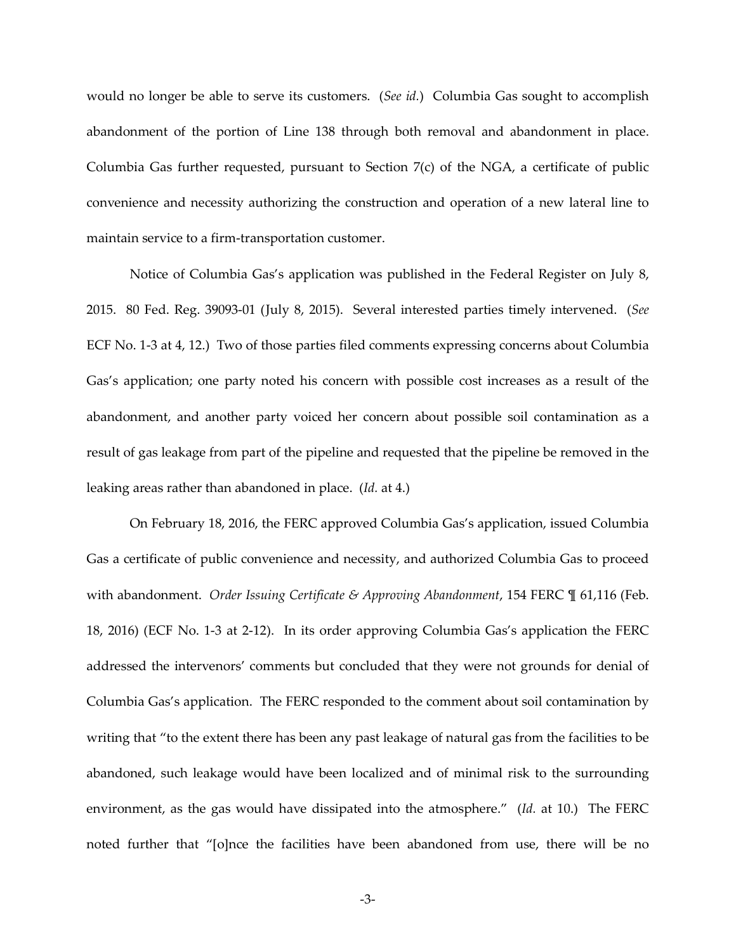would no longer be able to serve its customers. (*See id.*) Columbia Gas sought to accomplish abandonment of the portion of Line 138 through both removal and abandonment in place. Columbia Gas further requested, pursuant to Section 7(c) of the NGA, a certificate of public convenience and necessity authorizing the construction and operation of a new lateral line to maintain service to a firm-transportation customer.

Notice of Columbia Gas's application was published in the Federal Register on July 8, 2015. 80 Fed. Reg. 39093-01 (July 8, 2015). Several interested parties timely intervened. (*See*  ECF No. 1-3 at 4, 12.) Two of those parties filed comments expressing concerns about Columbia Gas's application; one party noted his concern with possible cost increases as a result of the abandonment, and another party voiced her concern about possible soil contamination as a result of gas leakage from part of the pipeline and requested that the pipeline be removed in the leaking areas rather than abandoned in place. (*Id.* at 4.)

On February 18, 2016, the FERC approved Columbia Gas's application, issued Columbia Gas a certificate of public convenience and necessity, and authorized Columbia Gas to proceed with abandonment. *Order Issuing Certificate & Approving Abandonment*, 154 FERC ¶ 61,116 (Feb. 18, 2016) (ECF No. 1-3 at 2-12). In its order approving Columbia Gas's application the FERC addressed the intervenors' comments but concluded that they were not grounds for denial of Columbia Gas's application. The FERC responded to the comment about soil contamination by writing that "to the extent there has been any past leakage of natural gas from the facilities to be abandoned, such leakage would have been localized and of minimal risk to the surrounding environment, as the gas would have dissipated into the atmosphere." (*Id.* at 10.) The FERC noted further that "[o]nce the facilities have been abandoned from use, there will be no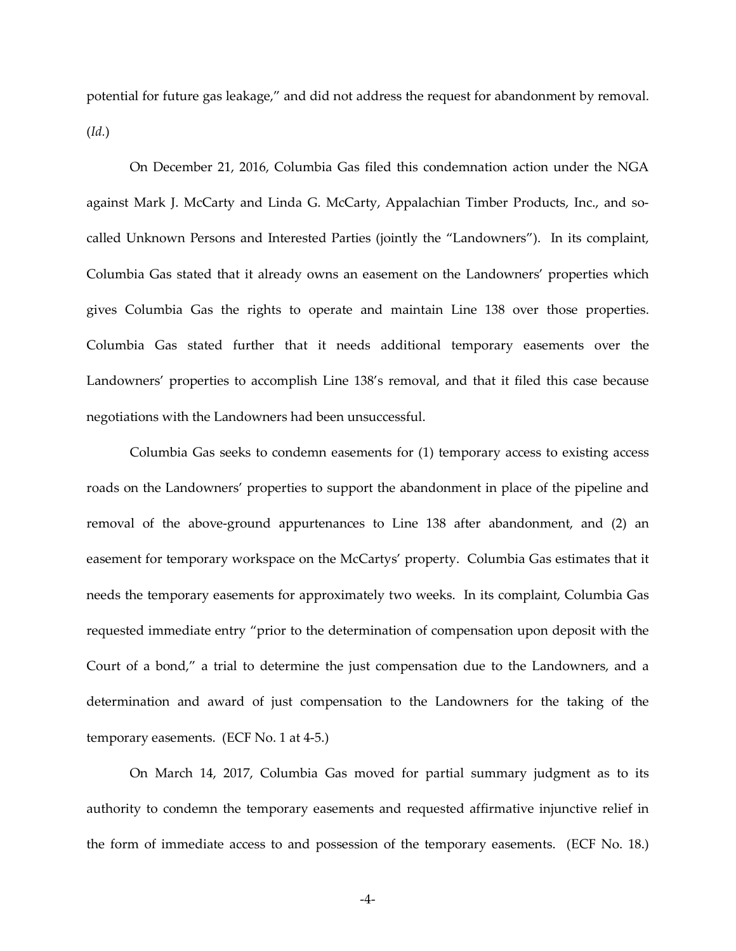potential for future gas leakage," and did not address the request for abandonment by removal. (*Id.*)

On December 21, 2016, Columbia Gas filed this condemnation action under the NGA against Mark J. McCarty and Linda G. McCarty, Appalachian Timber Products, Inc., and socalled Unknown Persons and Interested Parties (jointly the "Landowners"). In its complaint, Columbia Gas stated that it already owns an easement on the Landowners' properties which gives Columbia Gas the rights to operate and maintain Line 138 over those properties. Columbia Gas stated further that it needs additional temporary easements over the Landowners' properties to accomplish Line 138's removal, and that it filed this case because negotiations with the Landowners had been unsuccessful.

Columbia Gas seeks to condemn easements for (1) temporary access to existing access roads on the Landowners' properties to support the abandonment in place of the pipeline and removal of the above-ground appurtenances to Line 138 after abandonment, and (2) an easement for temporary workspace on the McCartys' property. Columbia Gas estimates that it needs the temporary easements for approximately two weeks. In its complaint, Columbia Gas requested immediate entry "prior to the determination of compensation upon deposit with the Court of a bond," a trial to determine the just compensation due to the Landowners, and a determination and award of just compensation to the Landowners for the taking of the temporary easements. (ECF No. 1 at 4-5.)

On March 14, 2017, Columbia Gas moved for partial summary judgment as to its authority to condemn the temporary easements and requested affirmative injunctive relief in the form of immediate access to and possession of the temporary easements. (ECF No. 18.)

-4-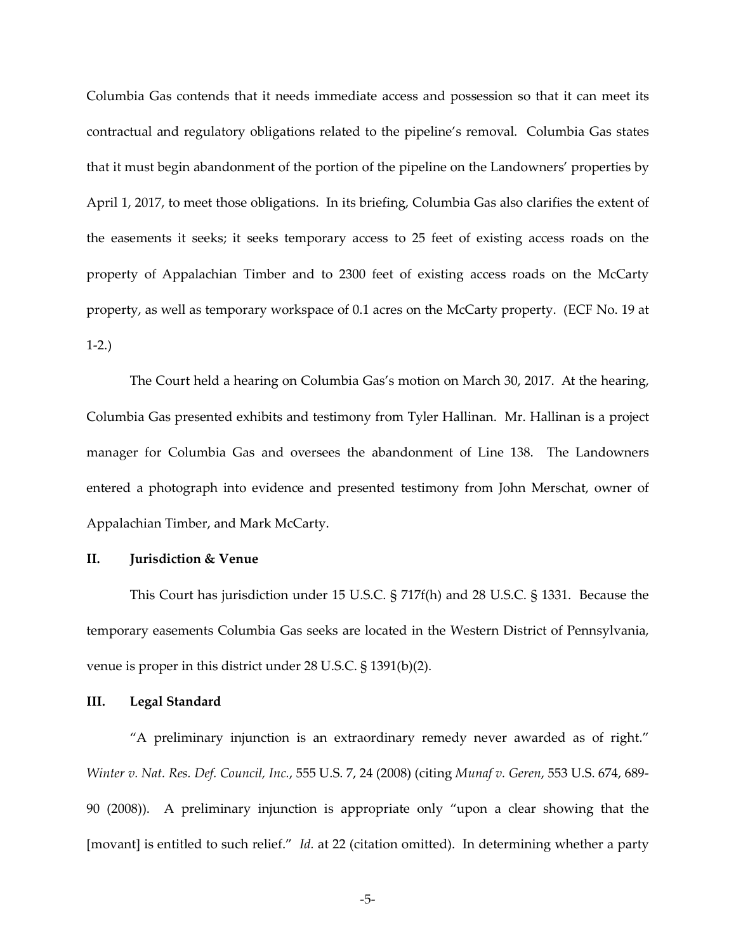Columbia Gas contends that it needs immediate access and possession so that it can meet its contractual and regulatory obligations related to the pipeline's removal. Columbia Gas states that it must begin abandonment of the portion of the pipeline on the Landowners' properties by April 1, 2017, to meet those obligations. In its briefing, Columbia Gas also clarifies the extent of the easements it seeks; it seeks temporary access to 25 feet of existing access roads on the property of Appalachian Timber and to 2300 feet of existing access roads on the McCarty property, as well as temporary workspace of 0.1 acres on the McCarty property. (ECF No. 19 at 1-2.)

The Court held a hearing on Columbia Gas's motion on March 30, 2017. At the hearing, Columbia Gas presented exhibits and testimony from Tyler Hallinan. Mr. Hallinan is a project manager for Columbia Gas and oversees the abandonment of Line 138. The Landowners entered a photograph into evidence and presented testimony from John Merschat, owner of Appalachian Timber, and Mark McCarty.

#### **II. Jurisdiction & Venue**

This Court has jurisdiction under 15 U.S.C. § 717f(h) and 28 U.S.C. § 1331. Because the temporary easements Columbia Gas seeks are located in the Western District of Pennsylvania, venue is proper in this district under 28 U.S.C. § 1391(b)(2).

### **III. Legal Standard**

"A preliminary injunction is an extraordinary remedy never awarded as of right." *Winter v. Nat. Res. Def. Council, Inc.*, 555 U.S. 7, 24 (2008) (citing *Munaf v. Geren*, 553 U.S. 674, 689- 90 (2008)). A preliminary injunction is appropriate only "upon a clear showing that the [movant] is entitled to such relief." *Id.* at 22 (citation omitted). In determining whether a party

-5-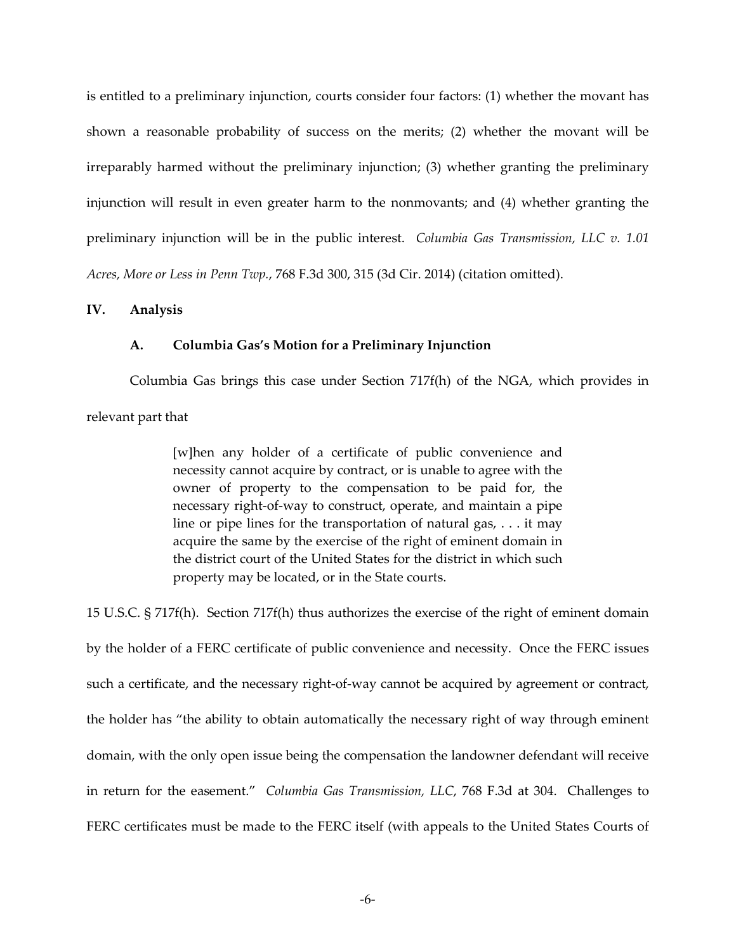is entitled to a preliminary injunction, courts consider four factors: (1) whether the movant has shown a reasonable probability of success on the merits; (2) whether the movant will be irreparably harmed without the preliminary injunction; (3) whether granting the preliminary injunction will result in even greater harm to the nonmovants; and (4) whether granting the preliminary injunction will be in the public interest. *Columbia Gas Transmission, LLC v. 1.01 Acres, More or Less in Penn Twp.*, 768 F.3d 300, 315 (3d Cir. 2014) (citation omitted).

#### **IV. Analysis**

#### **A. Columbia Gas's Motion for a Preliminary Injunction**

Columbia Gas brings this case under Section 717f(h) of the NGA, which provides in relevant part that

[w]hen any holder of a certificate of public convenience and necessity cannot acquire by contract, or is unable to agree with the owner of property to the compensation to be paid for, the necessary right-of-way to construct, operate, and maintain a pipe line or pipe lines for the transportation of natural gas,  $\dots$  it may acquire the same by the exercise of the right of eminent domain in the district court of the United States for the district in which such property may be located, or in the State courts.

15 U.S.C. § 717f(h). Section 717f(h) thus authorizes the exercise of the right of eminent domain by the holder of a FERC certificate of public convenience and necessity. Once the FERC issues such a certificate, and the necessary right-of-way cannot be acquired by agreement or contract, the holder has "the ability to obtain automatically the necessary right of way through eminent domain, with the only open issue being the compensation the landowner defendant will receive in return for the easement." *Columbia Gas Transmission, LLC*, 768 F.3d at 304. Challenges to FERC certificates must be made to the FERC itself (with appeals to the United States Courts of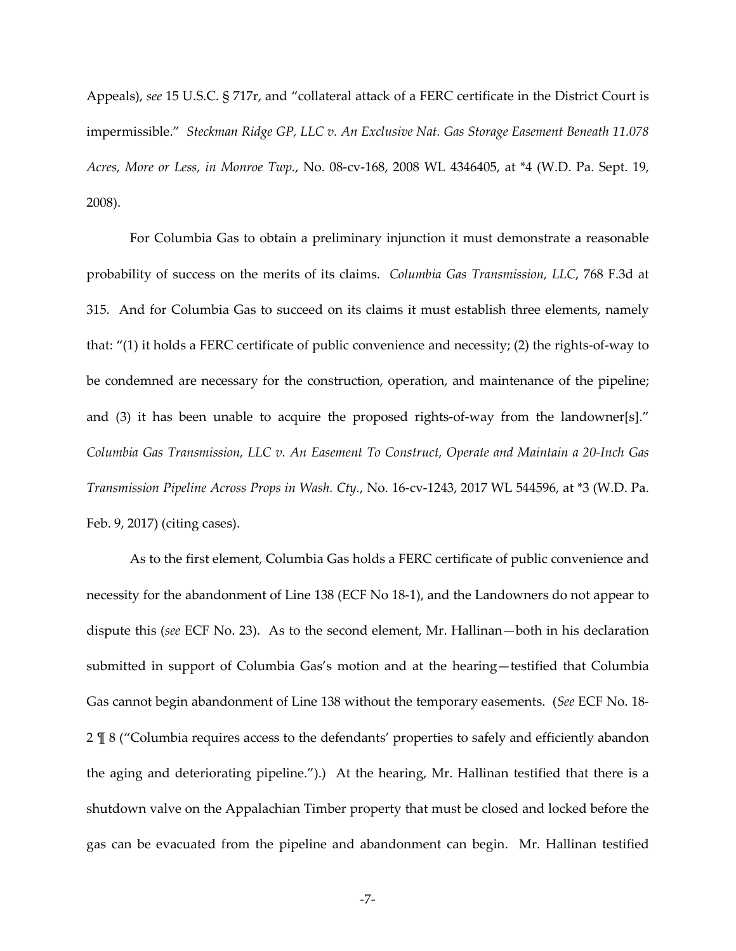Appeals), *see* 15 U.S.C. § 717r, and "collateral attack of a FERC certificate in the District Court is impermissible." *Steckman Ridge GP, LLC v. An Exclusive Nat. Gas Storage Easement Beneath 11.078 Acres, More or Less, in Monroe Twp.*, No. 08-cv-168, 2008 WL 4346405, at \*4 (W.D. Pa. Sept. 19, 2008).

For Columbia Gas to obtain a preliminary injunction it must demonstrate a reasonable probability of success on the merits of its claims. *Columbia Gas Transmission, LLC*, 768 F.3d at 315. And for Columbia Gas to succeed on its claims it must establish three elements, namely that: "(1) it holds a FERC certificate of public convenience and necessity; (2) the rights-of-way to be condemned are necessary for the construction, operation, and maintenance of the pipeline; and (3) it has been unable to acquire the proposed rights-of-way from the landowner[s]." *Columbia Gas Transmission, LLC v. An Easement To Construct, Operate and Maintain a 20-Inch Gas Transmission Pipeline Across Props in Wash. Cty.*, No. 16-cv-1243, 2017 WL 544596, at \*3 (W.D. Pa. Feb. 9, 2017) (citing cases).

As to the first element, Columbia Gas holds a FERC certificate of public convenience and necessity for the abandonment of Line 138 (ECF No 18-1), and the Landowners do not appear to dispute this (*see* ECF No. 23). As to the second element, Mr. Hallinan—both in his declaration submitted in support of Columbia Gas's motion and at the hearing—testified that Columbia Gas cannot begin abandonment of Line 138 without the temporary easements. (*See* ECF No. 18- 2 ¶ 8 ("Columbia requires access to the defendants' properties to safely and efficiently abandon the aging and deteriorating pipeline.").) At the hearing, Mr. Hallinan testified that there is a shutdown valve on the Appalachian Timber property that must be closed and locked before the gas can be evacuated from the pipeline and abandonment can begin. Mr. Hallinan testified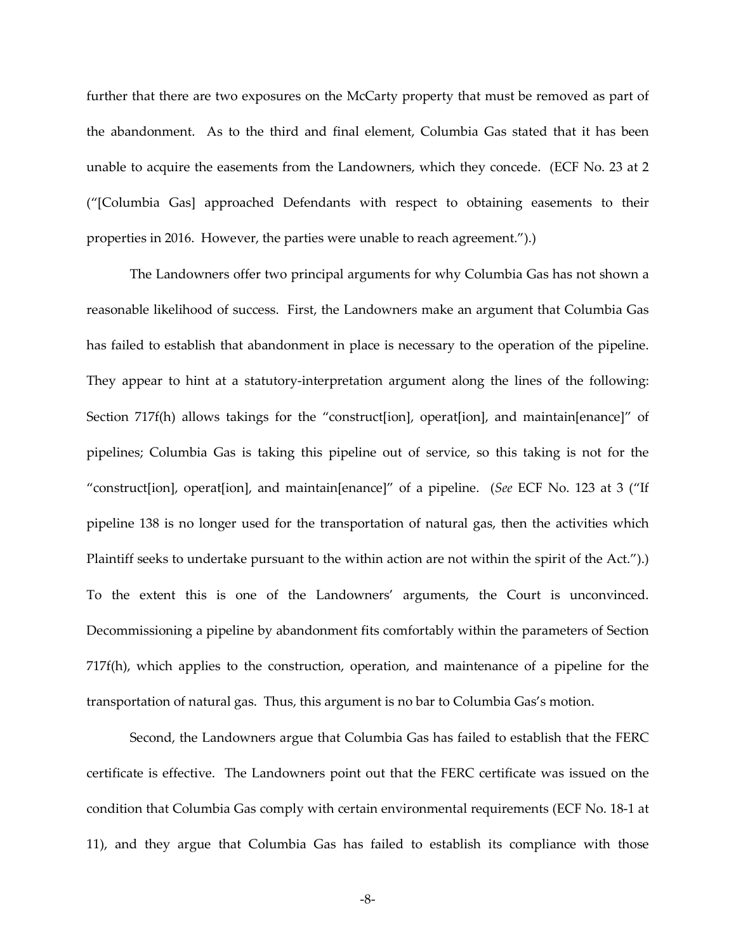further that there are two exposures on the McCarty property that must be removed as part of the abandonment. As to the third and final element, Columbia Gas stated that it has been unable to acquire the easements from the Landowners, which they concede. (ECF No. 23 at 2 ("[Columbia Gas] approached Defendants with respect to obtaining easements to their properties in 2016. However, the parties were unable to reach agreement.").)

The Landowners offer two principal arguments for why Columbia Gas has not shown a reasonable likelihood of success. First, the Landowners make an argument that Columbia Gas has failed to establish that abandonment in place is necessary to the operation of the pipeline. They appear to hint at a statutory-interpretation argument along the lines of the following: Section 717f(h) allows takings for the "construct[ion], operat[ion], and maintain[enance]" of pipelines; Columbia Gas is taking this pipeline out of service, so this taking is not for the "construct[ion], operat[ion], and maintain[enance]" of a pipeline. (*See* ECF No. 123 at 3 ("If pipeline 138 is no longer used for the transportation of natural gas, then the activities which Plaintiff seeks to undertake pursuant to the within action are not within the spirit of the Act.").) To the extent this is one of the Landowners' arguments, the Court is unconvinced. Decommissioning a pipeline by abandonment fits comfortably within the parameters of Section 717f(h), which applies to the construction, operation, and maintenance of a pipeline for the transportation of natural gas. Thus, this argument is no bar to Columbia Gas's motion.

Second, the Landowners argue that Columbia Gas has failed to establish that the FERC certificate is effective. The Landowners point out that the FERC certificate was issued on the condition that Columbia Gas comply with certain environmental requirements (ECF No. 18-1 at 11), and they argue that Columbia Gas has failed to establish its compliance with those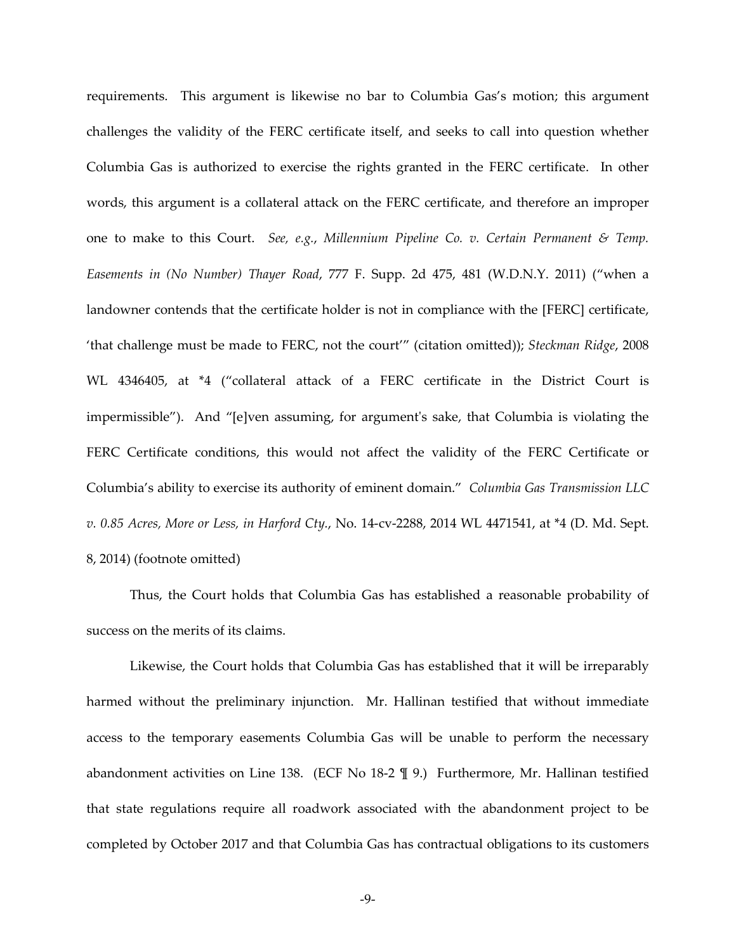requirements. This argument is likewise no bar to Columbia Gas's motion; this argument challenges the validity of the FERC certificate itself, and seeks to call into question whether Columbia Gas is authorized to exercise the rights granted in the FERC certificate. In other words, this argument is a collateral attack on the FERC certificate, and therefore an improper one to make to this Court. *See, e.g.*, *Millennium Pipeline Co. v. Certain Permanent & Temp. Easements in (No Number) Thayer Road*, 777 F. Supp. 2d 475, 481 (W.D.N.Y. 2011) ("when a landowner contends that the certificate holder is not in compliance with the [FERC] certificate, 'that challenge must be made to FERC, not the court'" (citation omitted)); *Steckman Ridge*, 2008 WL 4346405, at \*4 ("collateral attack of a FERC certificate in the District Court is impermissible"). And "[e]ven assuming, for argument's sake, that Columbia is violating the FERC Certificate conditions, this would not affect the validity of the FERC Certificate or Columbia's ability to exercise its authority of eminent domain." *Columbia Gas Transmission LLC v. 0.85 Acres, More or Less, in Harford Cty.*, No. 14-cv-2288, 2014 WL 4471541, at \*4 (D. Md. Sept. 8, 2014) (footnote omitted)

Thus, the Court holds that Columbia Gas has established a reasonable probability of success on the merits of its claims.

Likewise, the Court holds that Columbia Gas has established that it will be irreparably harmed without the preliminary injunction. Mr. Hallinan testified that without immediate access to the temporary easements Columbia Gas will be unable to perform the necessary abandonment activities on Line 138. (ECF No 18-2 ¶ 9.) Furthermore, Mr. Hallinan testified that state regulations require all roadwork associated with the abandonment project to be completed by October 2017 and that Columbia Gas has contractual obligations to its customers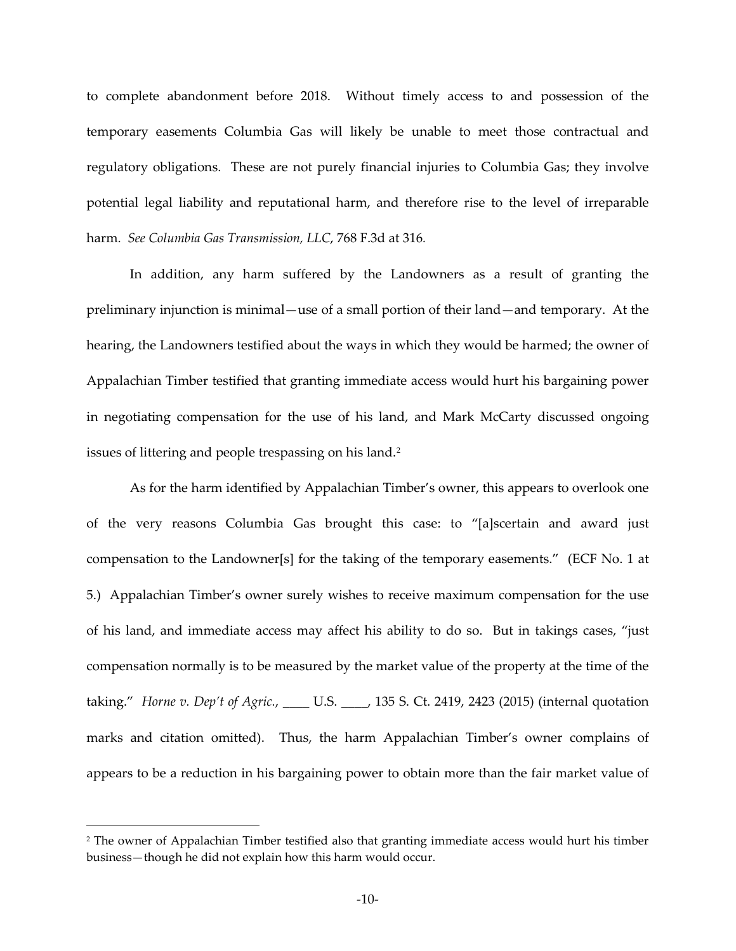to complete abandonment before 2018. Without timely access to and possession of the temporary easements Columbia Gas will likely be unable to meet those contractual and regulatory obligations. These are not purely financial injuries to Columbia Gas; they involve potential legal liability and reputational harm, and therefore rise to the level of irreparable harm. *See Columbia Gas Transmission, LLC*, 768 F.3d at 316*.* 

In addition, any harm suffered by the Landowners as a result of granting the preliminary injunction is minimal—use of a small portion of their land—and temporary. At the hearing, the Landowners testified about the ways in which they would be harmed; the owner of Appalachian Timber testified that granting immediate access would hurt his bargaining power in negotiating compensation for the use of his land, and Mark McCarty discussed ongoing issues of littering and people trespassing on his land.<sup>[2](#page-9-0)</sup>

As for the harm identified by Appalachian Timber's owner, this appears to overlook one of the very reasons Columbia Gas brought this case: to "[a]scertain and award just compensation to the Landowner[s] for the taking of the temporary easements." (ECF No. 1 at 5.) Appalachian Timber's owner surely wishes to receive maximum compensation for the use of his land, and immediate access may affect his ability to do so. But in takings cases, "just compensation normally is to be measured by the market value of the property at the time of the taking." *Horne v. Dep't of Agric.*, \_\_\_\_ U.S. \_\_\_\_, 135 S. Ct. 2419, 2423 (2015) (internal quotation marks and citation omitted). Thus, the harm Appalachian Timber's owner complains of appears to be a reduction in his bargaining power to obtain more than the fair market value of

 $\overline{a}$ 

<span id="page-9-0"></span><sup>2</sup> The owner of Appalachian Timber testified also that granting immediate access would hurt his timber business—though he did not explain how this harm would occur.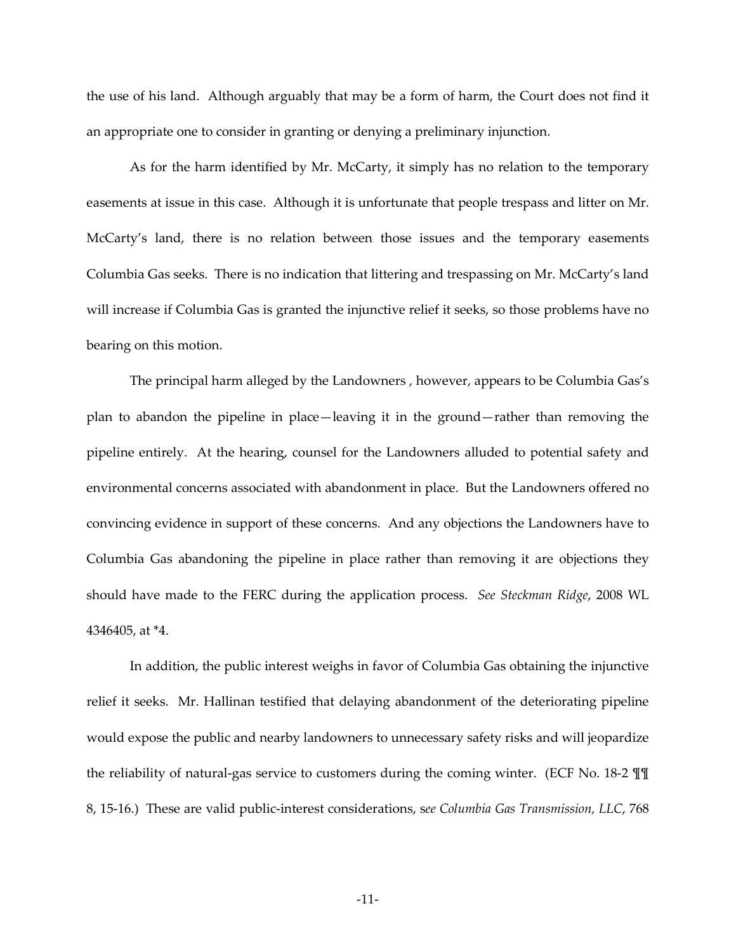the use of his land. Although arguably that may be a form of harm, the Court does not find it an appropriate one to consider in granting or denying a preliminary injunction.

As for the harm identified by Mr. McCarty, it simply has no relation to the temporary easements at issue in this case. Although it is unfortunate that people trespass and litter on Mr. McCarty's land, there is no relation between those issues and the temporary easements Columbia Gas seeks. There is no indication that littering and trespassing on Mr. McCarty's land will increase if Columbia Gas is granted the injunctive relief it seeks, so those problems have no bearing on this motion.

The principal harm alleged by the Landowners , however, appears to be Columbia Gas's plan to abandon the pipeline in place—leaving it in the ground—rather than removing the pipeline entirely. At the hearing, counsel for the Landowners alluded to potential safety and environmental concerns associated with abandonment in place. But the Landowners offered no convincing evidence in support of these concerns. And any objections the Landowners have to Columbia Gas abandoning the pipeline in place rather than removing it are objections they should have made to the FERC during the application process. *See Steckman Ridge*, 2008 WL 4346405, at \*4.

In addition, the public interest weighs in favor of Columbia Gas obtaining the injunctive relief it seeks. Mr. Hallinan testified that delaying abandonment of the deteriorating pipeline would expose the public and nearby landowners to unnecessary safety risks and will jeopardize the reliability of natural-gas service to customers during the coming winter. (ECF No. 18-2 ¶¶ 8, 15-16.) These are valid public-interest considerations, s*ee Columbia Gas Transmission, LLC*, 768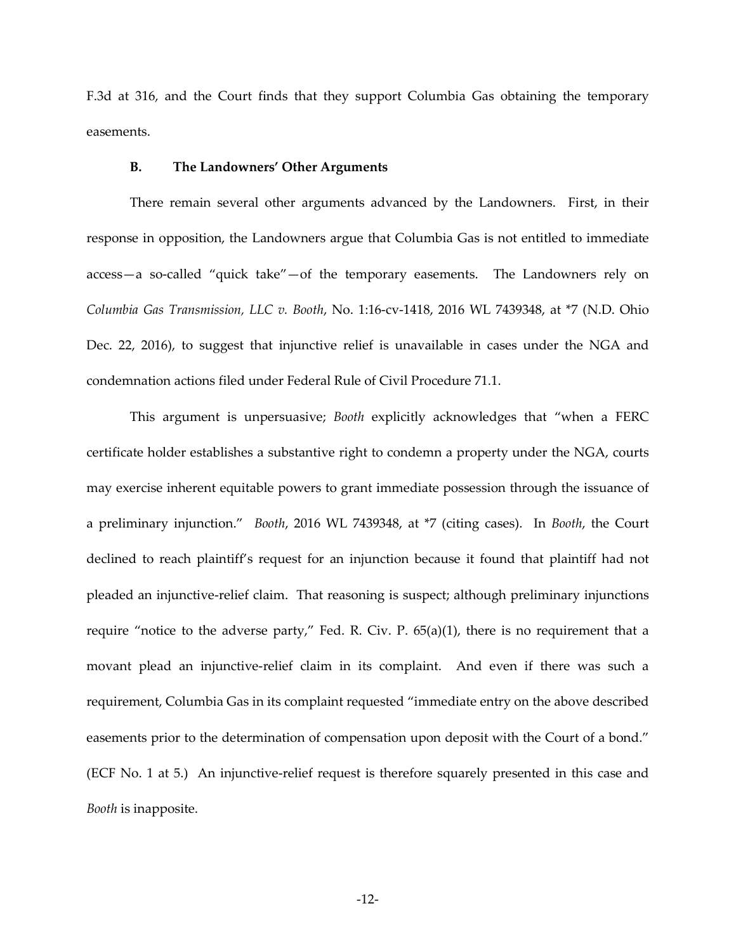F.3d at 316, and the Court finds that they support Columbia Gas obtaining the temporary easements.

#### **B. The Landowners' Other Arguments**

There remain several other arguments advanced by the Landowners. First, in their response in opposition, the Landowners argue that Columbia Gas is not entitled to immediate access—a so-called "quick take"—of the temporary easements. The Landowners rely on *Columbia Gas Transmission, LLC v. Booth*, No. 1:16-cv-1418, 2016 WL 7439348, at \*7 (N.D. Ohio Dec. 22, 2016), to suggest that injunctive relief is unavailable in cases under the NGA and condemnation actions filed under Federal Rule of Civil Procedure 71.1.

This argument is unpersuasive; *Booth* explicitly acknowledges that "when a FERC certificate holder establishes a substantive right to condemn a property under the NGA, courts may exercise inherent equitable powers to grant immediate possession through the issuance of a preliminary injunction." *Booth*, 2016 WL 7439348, at \*7 (citing cases). In *Booth*, the Court declined to reach plaintiff's request for an injunction because it found that plaintiff had not pleaded an injunctive-relief claim. That reasoning is suspect; although preliminary injunctions require "notice to the adverse party," Fed. R. Civ. P. 65(a)(1), there is no requirement that a movant plead an injunctive-relief claim in its complaint. And even if there was such a requirement, Columbia Gas in its complaint requested "immediate entry on the above described easements prior to the determination of compensation upon deposit with the Court of a bond." (ECF No. 1 at 5.) An injunctive-relief request is therefore squarely presented in this case and *Booth* is inapposite.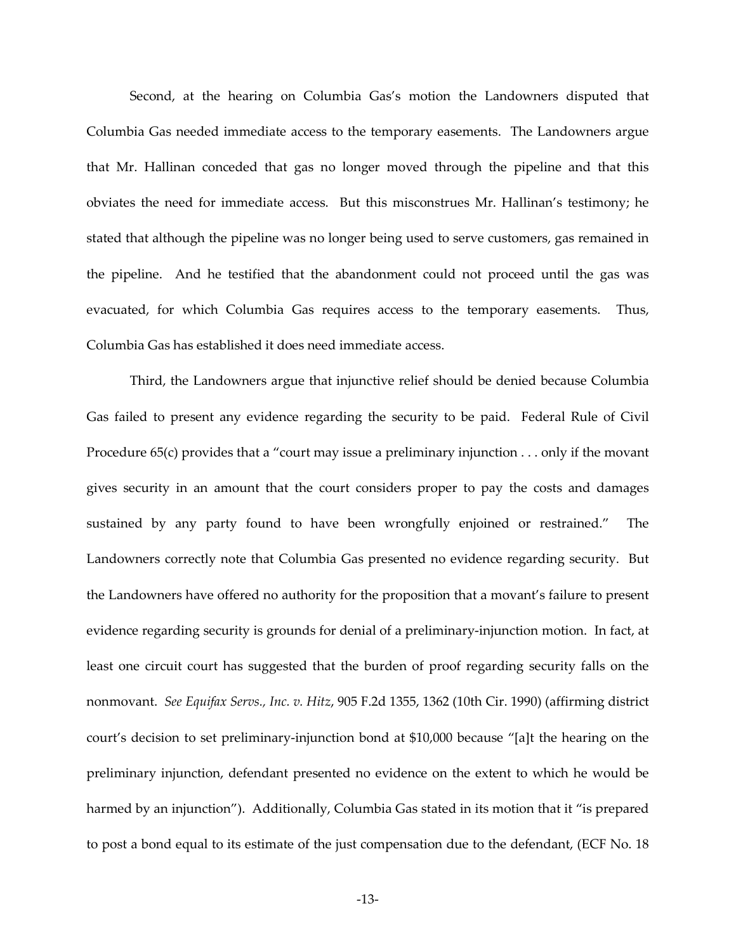Second, at the hearing on Columbia Gas's motion the Landowners disputed that Columbia Gas needed immediate access to the temporary easements. The Landowners argue that Mr. Hallinan conceded that gas no longer moved through the pipeline and that this obviates the need for immediate access. But this misconstrues Mr. Hallinan's testimony; he stated that although the pipeline was no longer being used to serve customers, gas remained in the pipeline. And he testified that the abandonment could not proceed until the gas was evacuated, for which Columbia Gas requires access to the temporary easements. Thus, Columbia Gas has established it does need immediate access.

Third, the Landowners argue that injunctive relief should be denied because Columbia Gas failed to present any evidence regarding the security to be paid. Federal Rule of Civil Procedure 65(c) provides that a "court may issue a preliminary injunction . . . only if the movant gives security in an amount that the court considers proper to pay the costs and damages sustained by any party found to have been wrongfully enjoined or restrained." The Landowners correctly note that Columbia Gas presented no evidence regarding security. But the Landowners have offered no authority for the proposition that a movant's failure to present evidence regarding security is grounds for denial of a preliminary-injunction motion. In fact, at least one circuit court has suggested that the burden of proof regarding security falls on the nonmovant. *See Equifax Servs., Inc. v. Hitz*, 905 F.2d 1355, 1362 (10th Cir. 1990) (affirming district court's decision to set preliminary-injunction bond at \$10,000 because "[a]t the hearing on the preliminary injunction, defendant presented no evidence on the extent to which he would be harmed by an injunction"). Additionally, Columbia Gas stated in its motion that it "is prepared to post a bond equal to its estimate of the just compensation due to the defendant, (ECF No. 18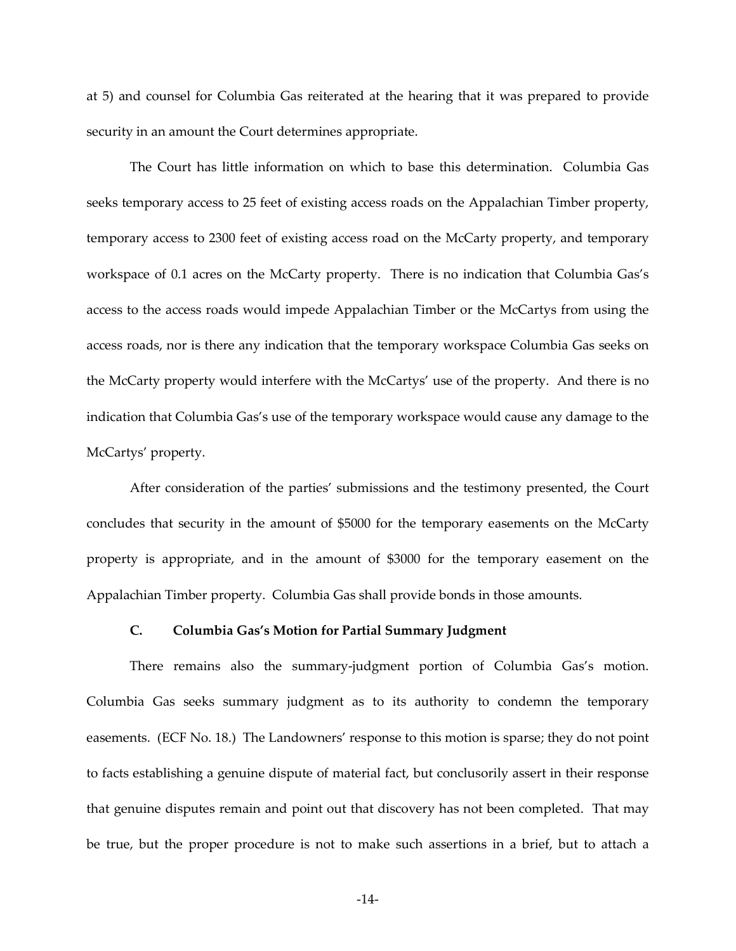at 5) and counsel for Columbia Gas reiterated at the hearing that it was prepared to provide security in an amount the Court determines appropriate.

The Court has little information on which to base this determination. Columbia Gas seeks temporary access to 25 feet of existing access roads on the Appalachian Timber property, temporary access to 2300 feet of existing access road on the McCarty property, and temporary workspace of 0.1 acres on the McCarty property. There is no indication that Columbia Gas's access to the access roads would impede Appalachian Timber or the McCartys from using the access roads, nor is there any indication that the temporary workspace Columbia Gas seeks on the McCarty property would interfere with the McCartys' use of the property. And there is no indication that Columbia Gas's use of the temporary workspace would cause any damage to the McCartys' property.

After consideration of the parties' submissions and the testimony presented, the Court concludes that security in the amount of \$5000 for the temporary easements on the McCarty property is appropriate, and in the amount of \$3000 for the temporary easement on the Appalachian Timber property. Columbia Gas shall provide bonds in those amounts.

#### **C. Columbia Gas's Motion for Partial Summary Judgment**

There remains also the summary-judgment portion of Columbia Gas's motion. Columbia Gas seeks summary judgment as to its authority to condemn the temporary easements. (ECF No. 18.) The Landowners' response to this motion is sparse; they do not point to facts establishing a genuine dispute of material fact, but conclusorily assert in their response that genuine disputes remain and point out that discovery has not been completed. That may be true, but the proper procedure is not to make such assertions in a brief, but to attach a

-14-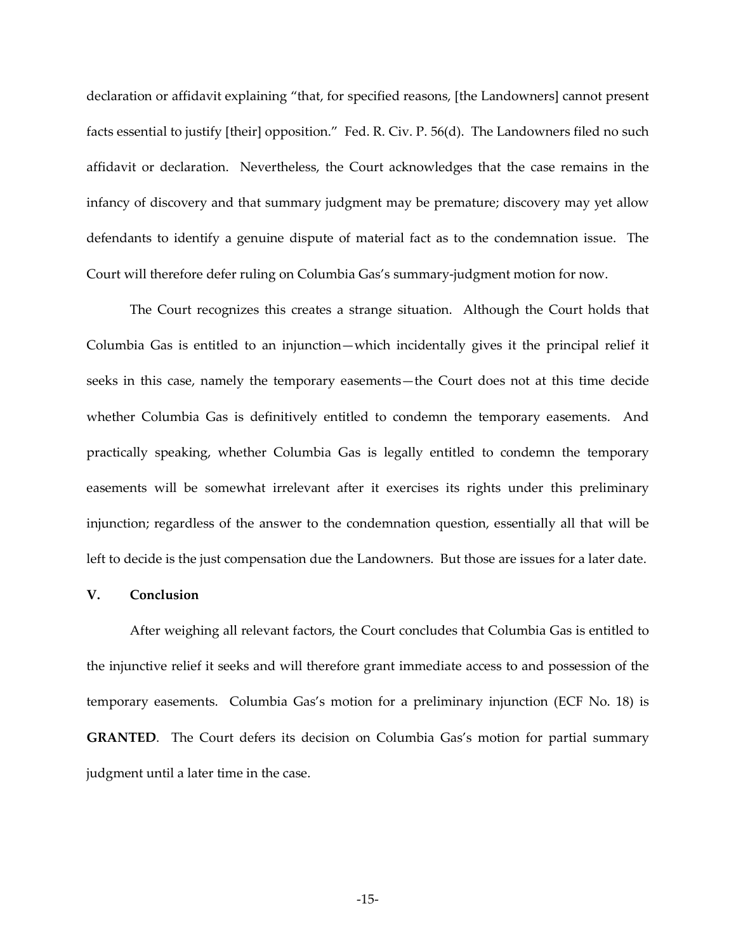declaration or affidavit explaining "that, for specified reasons, [the Landowners] cannot present facts essential to justify [their] opposition." Fed. R. Civ. P. 56(d). The Landowners filed no such affidavit or declaration. Nevertheless, the Court acknowledges that the case remains in the infancy of discovery and that summary judgment may be premature; discovery may yet allow defendants to identify a genuine dispute of material fact as to the condemnation issue. The Court will therefore defer ruling on Columbia Gas's summary-judgment motion for now.

The Court recognizes this creates a strange situation. Although the Court holds that Columbia Gas is entitled to an injunction—which incidentally gives it the principal relief it seeks in this case, namely the temporary easements—the Court does not at this time decide whether Columbia Gas is definitively entitled to condemn the temporary easements. And practically speaking, whether Columbia Gas is legally entitled to condemn the temporary easements will be somewhat irrelevant after it exercises its rights under this preliminary injunction; regardless of the answer to the condemnation question, essentially all that will be left to decide is the just compensation due the Landowners. But those are issues for a later date.

## **V. Conclusion**

After weighing all relevant factors, the Court concludes that Columbia Gas is entitled to the injunctive relief it seeks and will therefore grant immediate access to and possession of the temporary easements. Columbia Gas's motion for a preliminary injunction (ECF No. 18) is **GRANTED**. The Court defers its decision on Columbia Gas's motion for partial summary judgment until a later time in the case.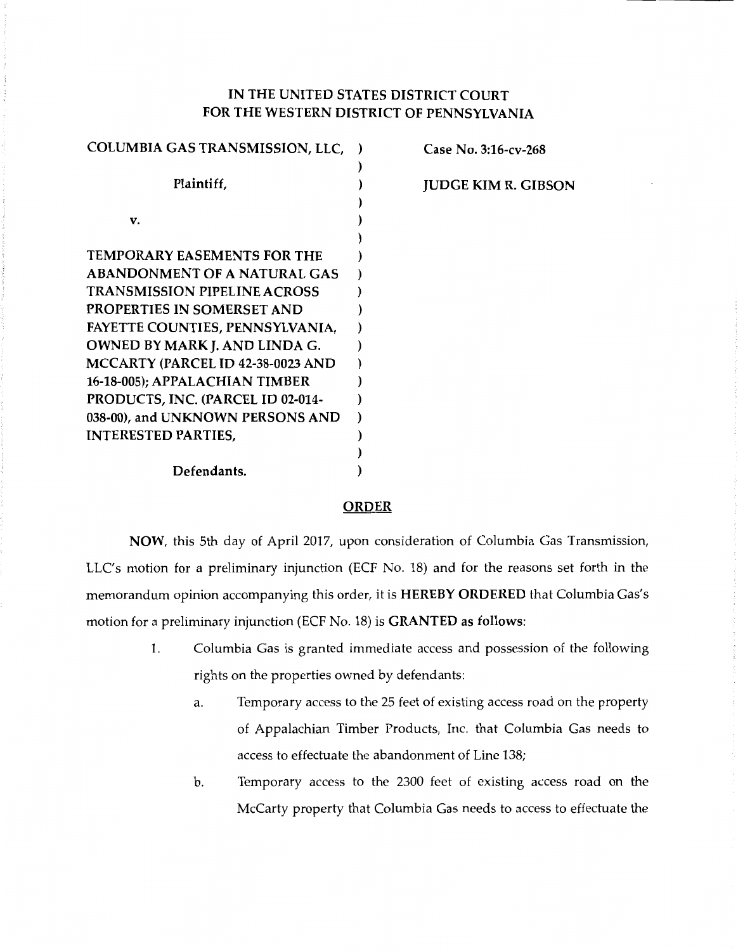# IN THE UNITED STATES DISTRICT COURT FOR THE WESTERN DISTRICT OF PENNSYLVANIA

| COLUMBIA GAS TRANSMISSION, LLC,     | Case No. 3:16-cv-268       |
|-------------------------------------|----------------------------|
|                                     |                            |
| Plaintiff,                          | <b>JUDGE KIM R. GIBSON</b> |
|                                     |                            |
| v.                                  |                            |
|                                     |                            |
| <b>TEMPORARY EASEMENTS FOR THE</b>  |                            |
| <b>ABANDONMENT OF A NATURAL GAS</b> |                            |
| <b>TRANSMISSION PIPELINE ACROSS</b> |                            |
| PROPERTIES IN SOMERSET AND          |                            |
| FAYETTE COUNTIES, PENNSYLVANIA,     |                            |
| OWNED BY MARK J. AND LINDA G.       |                            |
| MCCARTY (PARCEL ID 42-38-0023 AND   |                            |
| 16-18-005); APPALACHIAN TIMBER      |                            |
| PRODUCTS, INC. (PARCEL ID 02-014-   |                            |
| 038-00), and UNKNOWN PERSONS AND    |                            |
| <b>INTERESTED PARTIES,</b>          |                            |
|                                     |                            |
| Defendants.                         |                            |
|                                     |                            |

#### ORDER

NOW, this 5th day of April 2017, upon consideration of Columbia Gas Transmission, LLC's motion for a preliminary injunction (ECF No. 18) and for the reasons set forth in the memorandum opinion accompanying this order, it is HEREBY ORDERED that Columbia Gas's motion for a preliminary injunction (ECF No. 18) is GRANTED as follows:

- 1. Columbia Gas is granted immediate access and possession of the following rights on the properties owned by defendants:
	- a. Temporary access to the 25 feet of existing access road on the property of Appalachian Timber Products, Inc. that Columbia Gas needs to access to effectuate the abandonment of Line 138;
	- b. Temporary access to the 2300 feet of existing access road on the McCarty property that Columbia Gas needs to access to effectuate the